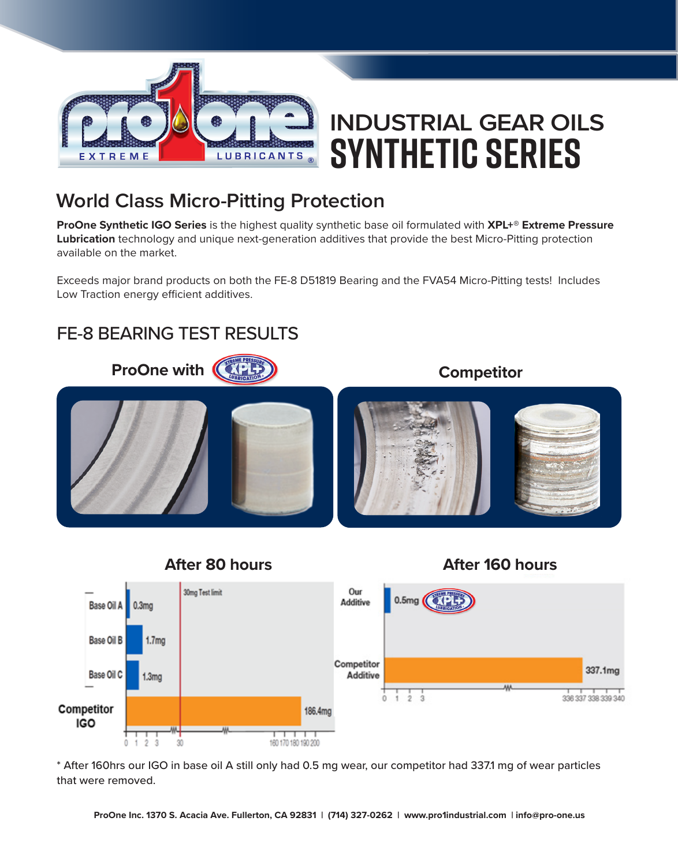

# **INDUSTRIAL GEAR OILS Synthetic Series**

### **World Class Micro-Pitting Protection**

**ProOne Synthetic IGO Series** is the highest quality synthetic base oil formulated with **XPL+® Extreme Pressure Lubrication** technology and unique next-generation additives that provide the best Micro-Pitting protection available on the market.

Exceeds major brand products on both the FE-8 D51819 Bearing and the FVA54 Micro-Pitting tests! Includes Low Traction energy efficient additives.

#### FE-8 BEARING TEST RESULTS





\* After 160hrs our IGO in base oil A still only had 0.5 mg wear, our competitor had 337.1 mg of wear particles that were removed.